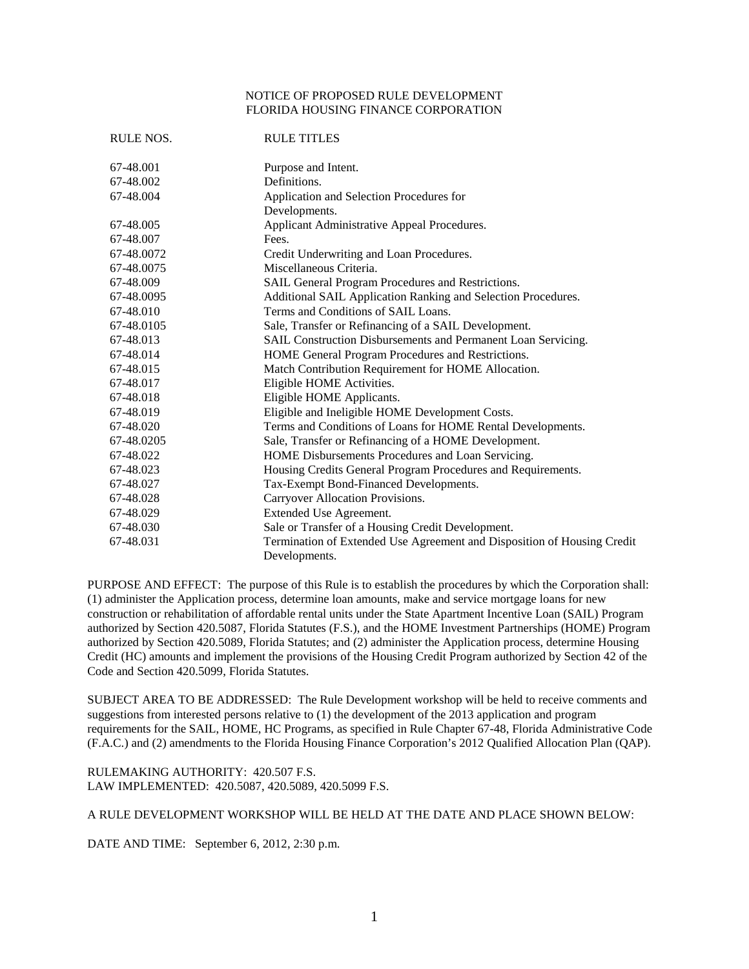## NOTICE OF PROPOSED RULE DEVELOPMENT FLORIDA HOUSING FINANCE CORPORATION

| <b>RULE NOS.</b> | <b>RULE TITLES</b>                                                      |
|------------------|-------------------------------------------------------------------------|
| 67-48.001        | Purpose and Intent.                                                     |
| 67-48.002        | Definitions.                                                            |
| 67-48.004        | Application and Selection Procedures for                                |
|                  | Developments.                                                           |
| 67-48.005        | Applicant Administrative Appeal Procedures.                             |
| 67-48.007        | Fees.                                                                   |
| 67-48.0072       | Credit Underwriting and Loan Procedures.                                |
| 67-48.0075       | Miscellaneous Criteria.                                                 |
| 67-48.009        | SAIL General Program Procedures and Restrictions.                       |
| 67-48.0095       | Additional SAIL Application Ranking and Selection Procedures.           |
| 67-48.010        | Terms and Conditions of SAIL Loans.                                     |
| 67-48.0105       | Sale, Transfer or Refinancing of a SAIL Development.                    |
| 67-48.013        | SAIL Construction Disbursements and Permanent Loan Servicing.           |
| 67-48.014        | HOME General Program Procedures and Restrictions.                       |
| 67-48.015        | Match Contribution Requirement for HOME Allocation.                     |
| 67-48.017        | Eligible HOME Activities.                                               |
| 67-48.018        | Eligible HOME Applicants.                                               |
| 67-48.019        | Eligible and Ineligible HOME Development Costs.                         |
| 67-48.020        | Terms and Conditions of Loans for HOME Rental Developments.             |
| 67-48.0205       | Sale, Transfer or Refinancing of a HOME Development.                    |
| 67-48.022        | HOME Disbursements Procedures and Loan Servicing.                       |
| 67-48.023        | Housing Credits General Program Procedures and Requirements.            |
| 67-48.027        | Tax-Exempt Bond-Financed Developments.                                  |
| 67-48.028        | Carryover Allocation Provisions.                                        |
| 67-48.029        | Extended Use Agreement.                                                 |
| 67-48.030        | Sale or Transfer of a Housing Credit Development.                       |
| 67-48.031        | Termination of Extended Use Agreement and Disposition of Housing Credit |
|                  | Developments.                                                           |

PURPOSE AND EFFECT: The purpose of this Rule is to establish the procedures by which the Corporation shall: (1) administer the Application process, determine loan amounts, make and service mortgage loans for new construction or rehabilitation of affordable rental units under the State Apartment Incentive Loan (SAIL) Program authorized by Section 420.5087, Florida Statutes (F.S.), and the HOME Investment Partnerships (HOME) Program authorized by Section 420.5089, Florida Statutes; and (2) administer the Application process, determine Housing Credit (HC) amounts and implement the provisions of the Housing Credit Program authorized by Section 42 of the Code and Section 420.5099, Florida Statutes.

SUBJECT AREA TO BE ADDRESSED: The Rule Development workshop will be held to receive comments and suggestions from interested persons relative to (1) the development of the 2013 application and program requirements for the SAIL, HOME, HC Programs, as specified in Rule Chapter 67-48, Florida Administrative Code (F.A.C.) and (2) amendments to the Florida Housing Finance Corporation's 2012 Qualified Allocation Plan (QAP).

RULEMAKING AUTHORITY: 420.507 F.S. LAW IMPLEMENTED: 420.5087, 420.5089, 420.5099 F.S.

A RULE DEVELOPMENT WORKSHOP WILL BE HELD AT THE DATE AND PLACE SHOWN BELOW:

DATE AND TIME: September 6, 2012, 2:30 p.m.